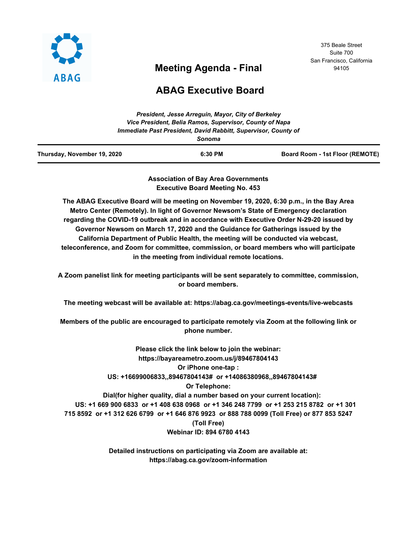

# **Meeting Agenda - Final**

375 Beale Street Suite 700 San Francisco, California 94105

# **ABAG Executive Board**

| Thursday, November 19, 2020 | 6:30 PM                                                                  | Board Room - 1st Floor (REMOTE) |
|-----------------------------|--------------------------------------------------------------------------|---------------------------------|
|                             | Immediate Past President, David Rabbitt, Supervisor, County of<br>Sonoma |                                 |
|                             | Vice President, Belia Ramos, Supervisor, County of Napa                  |                                 |
|                             | President, Jesse Arrequin, Mayor, City of Berkeley                       |                                 |

**Association of Bay Area Governments Executive Board Meeting No. 453**

**The ABAG Executive Board will be meeting on November 19, 2020, 6:30 p.m., in the Bay Area Metro Center (Remotely). In light of Governor Newsom's State of Emergency declaration regarding the COVID-19 outbreak and in accordance with Executive Order N-29-20 issued by Governor Newsom on March 17, 2020 and the Guidance for Gatherings issued by the California Department of Public Health, the meeting will be conducted via webcast, teleconference, and Zoom for committee, commission, or board members who will participate in the meeting from individual remote locations.**

**A Zoom panelist link for meeting participants will be sent separately to committee, commission, or board members.**

**The meeting webcast will be available at: https://abag.ca.gov/meetings-events/live-webcasts**

**Members of the public are encouraged to participate remotely via Zoom at the following link or phone number.**

**Please click the link below to join the webinar: https://bayareametro.zoom.us/j/89467804143 Or iPhone one-tap : US: +16699006833,,89467804143# or +14086380968,,89467804143# Or Telephone: Dial(for higher quality, dial a number based on your current location): US: +1 669 900 6833 or +1 408 638 0968 or +1 346 248 7799 or +1 253 215 8782 or +1 301 715 8592 or +1 312 626 6799 or +1 646 876 9923 or 888 788 0099 (Toll Free) or 877 853 5247 (Toll Free) Webinar ID: 894 6780 4143**

> **Detailed instructions on participating via Zoom are available at: https://abag.ca.gov/zoom-information**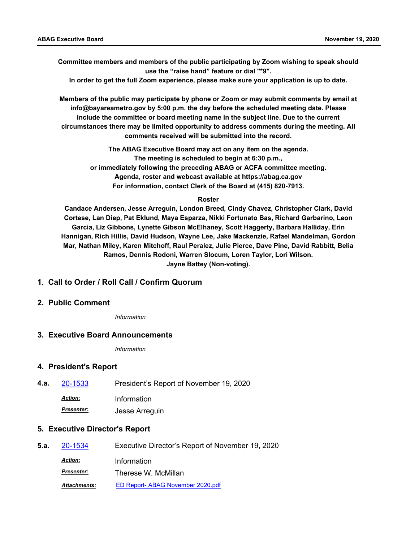**Committee members and members of the public participating by Zoom wishing to speak should use the "raise hand" feature or dial "\*9".**

**In order to get the full Zoom experience, please make sure your application is up to date.**

**Members of the public may participate by phone or Zoom or may submit comments by email at info@bayareametro.gov by 5:00 p.m. the day before the scheduled meeting date. Please include the committee or board meeting name in the subject line. Due to the current circumstances there may be limited opportunity to address comments during the meeting. All comments received will be submitted into the record.**

> **The ABAG Executive Board may act on any item on the agenda. The meeting is scheduled to begin at 6:30 p.m., or immediately following the preceding ABAG or ACFA committee meeting. Agenda, roster and webcast available at https://abag.ca.gov For information, contact Clerk of the Board at (415) 820-7913.**

#### **Roster**

**Candace Andersen, Jesse Arreguin, London Breed, Cindy Chavez, Christopher Clark, David Cortese, Lan Diep, Pat Eklund, Maya Esparza, Nikki Fortunato Bas, Richard Garbarino, Leon Garcia, Liz Gibbons, Lynette Gibson McElhaney, Scott Haggerty, Barbara Halliday, Erin Hannigan, Rich Hillis, David Hudson, Wayne Lee, Jake Mackenzie, Rafael Mandelman, Gordon Mar, Nathan Miley, Karen Mitchoff, Raul Peralez, Julie Pierce, Dave Pine, David Rabbitt, Belia Ramos, Dennis Rodoni, Warren Slocum, Loren Taylor, Lori Wilson. Jayne Battey (Non-voting).**

### **1. Call to Order / Roll Call / Confirm Quorum**

### **2. Public Comment**

*Information*

### **3. Executive Board Announcements**

*Information*

#### **4. President's Report**

**4.a.** [20-1533](http://mtc.legistar.com/gateway.aspx?m=l&id=/matter.aspx?key=21398) President's Report of November 19, 2020 *Action:* Information *Presenter:* Jesse Arreguin

### **5. Executive Director's Report**

| 5.a. | 20-1534             | Executive Director's Report of November 19, 2020 |
|------|---------------------|--------------------------------------------------|
|      | <b>Action:</b>      | Information                                      |
|      | <b>Presenter:</b>   | Therese W. McMillan                              |
|      | <b>Attachments:</b> | ED Report- ABAG November 2020.pdf                |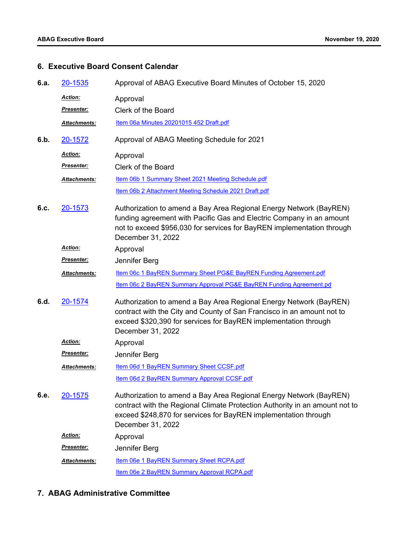## **6. Executive Board Consent Calendar**

| 6.a. | 20-1535           | Approval of ABAG Executive Board Minutes of October 15, 2020                                                                                                                                                                              |
|------|-------------------|-------------------------------------------------------------------------------------------------------------------------------------------------------------------------------------------------------------------------------------------|
|      | Action:           | Approval                                                                                                                                                                                                                                  |
|      | <u>Presenter:</u> | Clerk of the Board                                                                                                                                                                                                                        |
|      | Attachments:      | Item 06a Minutes 20201015 452 Draft.pdf                                                                                                                                                                                                   |
| 6.b. | 20-1572           | Approval of ABAG Meeting Schedule for 2021                                                                                                                                                                                                |
|      | Action:           | Approval                                                                                                                                                                                                                                  |
|      | <b>Presenter:</b> | Clerk of the Board                                                                                                                                                                                                                        |
|      | Attachments:      | Item 06b 1 Summary Sheet 2021 Meeting Schedule.pdf                                                                                                                                                                                        |
|      |                   | Item 06b 2 Attachment Meeting Schedule 2021 Draft.pdf                                                                                                                                                                                     |
| 6.c. | 20-1573           | Authorization to amend a Bay Area Regional Energy Network (BayREN)<br>funding agreement with Pacific Gas and Electric Company in an amount<br>not to exceed \$956,030 for services for BayREN implementation through<br>December 31, 2022 |
|      | Action:           | Approval                                                                                                                                                                                                                                  |
|      | Presenter:        | Jennifer Berg                                                                                                                                                                                                                             |
|      | Attachments:      | Item 06c 1 BayREN Summary Sheet PG&E BayREN Funding Agreement.pdf                                                                                                                                                                         |
|      |                   | Item 06c 2 BayREN Summary Approval PG&E BayREN Funding Agreement.pd                                                                                                                                                                       |
| 6.d. | 20-1574           | Authorization to amend a Bay Area Regional Energy Network (BayREN)<br>contract with the City and County of San Francisco in an amount not to<br>exceed \$320,390 for services for BayREN implementation through<br>December 31, 2022      |
|      | Action:           | Approval                                                                                                                                                                                                                                  |
|      | <u>Presenter:</u> | Jennifer Berg                                                                                                                                                                                                                             |
|      | Attachments:      | Item 06d 1 BayREN Summary Sheet CCSF.pdf                                                                                                                                                                                                  |
|      |                   | Item 06d 2 BayREN Summary Approval CCSF.pdf                                                                                                                                                                                               |
| 6.e. | 20-1575           | Authorization to amend a Bay Area Regional Energy Network (BayREN)<br>contract with the Regional Climate Protection Authority in an amount not to<br>exceed \$248,870 for services for BayREN implementation through<br>December 31, 2022 |
|      | Action:           | Approval                                                                                                                                                                                                                                  |
|      | <u>Presenter:</u> | Jennifer Berg                                                                                                                                                                                                                             |
|      | Attachments:      | Item 06e 1 BayREN Summary Sheet RCPA.pdf                                                                                                                                                                                                  |
|      |                   | Item 06e 2 BayREN Summary Approval RCPA.pdf                                                                                                                                                                                               |

## **7. ABAG Administrative Committee**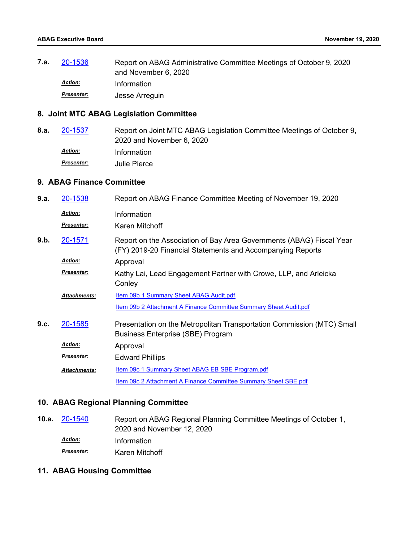Report on ABAG Administrative Committee Meetings of October 9, 2020 and November 6, 2020 **7.a.** [20-1536](http://mtc.legistar.com/gateway.aspx?m=l&id=/matter.aspx?key=21401) *Action:* Information *Presenter:* Jesse Arreguin

## **8. Joint MTC ABAG Legislation Committee**

Report on Joint MTC ABAG Legislation Committee Meetings of October 9, 2020 and November 6, 2020 **8.a.** [20-1537](http://mtc.legistar.com/gateway.aspx?m=l&id=/matter.aspx?key=21402) *Action:* Information *Presenter:* Julie Pierce

### **9. ABAG Finance Committee**

| 9.a. | 20-1538             | Report on ABAG Finance Committee Meeting of November 19, 2020                                                                      |
|------|---------------------|------------------------------------------------------------------------------------------------------------------------------------|
|      | <b>Action:</b>      | Information                                                                                                                        |
|      | Presenter:          | Karen Mitchoff                                                                                                                     |
| 9.b. | 20-1571             | Report on the Association of Bay Area Governments (ABAG) Fiscal Year<br>(FY) 2019-20 Financial Statements and Accompanying Reports |
|      | <b>Action:</b>      | Approval                                                                                                                           |
|      | Presenter:          | Kathy Lai, Lead Engagement Partner with Crowe, LLP, and Arleicka                                                                   |
|      |                     | Conley                                                                                                                             |
|      | <b>Attachments:</b> | <b>Item 09b 1 Summary Sheet ABAG Audit.pdf</b>                                                                                     |
|      |                     | Item 09b 2 Attachment A Finance Committee Summary Sheet Audit.pdf                                                                  |
| 9.c. | 20-1585             | Presentation on the Metropolitan Transportation Commission (MTC) Small                                                             |
|      |                     | <b>Business Enterprise (SBE) Program</b>                                                                                           |
|      | <b>Action:</b>      | Approval                                                                                                                           |
|      | Presenter:          | <b>Edward Phillips</b>                                                                                                             |
|      | Attachments:        | Item 09c 1 Summary Sheet ABAG EB SBE Program.pdf                                                                                   |
|      |                     | Item 09c 2 Attachment A Finance Committee Summary Sheet SBE.pdf                                                                    |

### **10. ABAG Regional Planning Committee**

Report on ABAG Regional Planning Committee Meetings of October 1, 2020 and November 12, 2020 **10.a.** [20-1540](http://mtc.legistar.com/gateway.aspx?m=l&id=/matter.aspx?key=21405) *Action:* Information **Presenter: Karen Mitchoff** 

### **11. ABAG Housing Committee**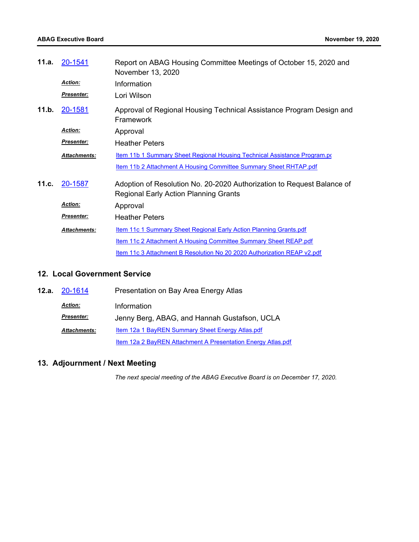| 11.a. | 20-1541             | Report on ABAG Housing Committee Meetings of October 15, 2020 and<br>November 13, 2020                                 |
|-------|---------------------|------------------------------------------------------------------------------------------------------------------------|
|       | <b>Action:</b>      | Information                                                                                                            |
|       | <b>Presenter:</b>   | Lori Wilson                                                                                                            |
| 11.b. | 20-1581             | Approval of Regional Housing Technical Assistance Program Design and<br>Framework                                      |
|       | <b>Action:</b>      | Approval                                                                                                               |
|       | Presenter:          | <b>Heather Peters</b>                                                                                                  |
|       | <b>Attachments:</b> | Item 11b 1 Summary Sheet Regional Housing Technical Assistance Program.po                                              |
|       |                     | <b>Item 11b 2 Attachment A Housing Committee Summary Sheet RHTAP.pdf</b>                                               |
| 11.c. | 20-1587             | Adoption of Resolution No. 20-2020 Authorization to Request Balance of<br><b>Regional Early Action Planning Grants</b> |
|       | <b>Action:</b>      | Approval                                                                                                               |
|       | <b>Presenter:</b>   | <b>Heather Peters</b>                                                                                                  |
|       | Attachments:        | Item 11c 1 Summary Sheet Regional Early Action Planning Grants.pdf                                                     |
|       |                     | Item 11c 2 Attachment A Housing Committee Summary Sheet REAP.pdf                                                       |
|       |                     | Item 11c 3 Attachment B Resolution No 20 2020 Authorization REAP v2.pdf                                                |

### **12. Local Government Service**

| 12.a. 20-1614       | Presentation on Bay Area Energy Atlas                               |
|---------------------|---------------------------------------------------------------------|
| <b>Action:</b>      | Information                                                         |
| <b>Presenter:</b>   | Jenny Berg, ABAG, and Hannah Gustafson, UCLA                        |
| <b>Attachments:</b> | Item 12a 1 BayREN Summary Sheet Energy Atlas.pdf                    |
|                     | <b>Item 12a 2 BayREN Attachment A Presentation Energy Atlas.pdf</b> |

# **13. Adjournment / Next Meeting**

*The next special meeting of the ABAG Executive Board is on December 17, 2020.*